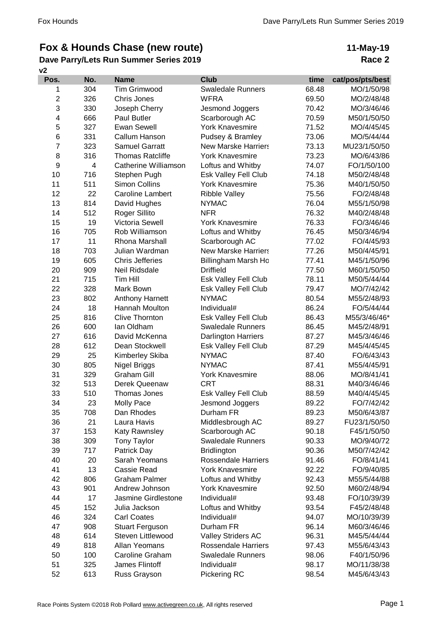## **Fox & Hounds Chase (new route)**

## **v2 Dave Parry/Lets Run Summer Series 2019**

## **11-May-19 Race 2**

| Pos.           | No. | <b>Name</b>             | <b>Club</b>                | time  | cat/pos/pts/best |
|----------------|-----|-------------------------|----------------------------|-------|------------------|
| 1              | 304 | <b>Tim Grimwood</b>     | <b>Swaledale Runners</b>   | 68.48 | MO/1/50/98       |
| $\overline{c}$ | 326 | Chris Jones             | <b>WFRA</b>                | 69.50 | MO/2/48/48       |
| 3              | 330 | Joseph Cherry           | Jesmond Joggers            | 70.42 | MO/3/46/46       |
| 4              | 666 | Paul Butler             | Scarborough AC             | 70.59 | M50/1/50/50      |
| 5              | 327 | <b>Ewan Sewell</b>      | <b>York Knavesmire</b>     | 71.52 | MO/4/45/45       |
| $\,6$          | 331 | Callum Hanson           | Pudsey & Bramley           | 73.06 | MO/5/44/44       |
| $\overline{7}$ | 323 | <b>Samuel Garratt</b>   | <b>New Marske Harriers</b> | 73.13 | MU23/1/50/50     |
| 8              | 316 | <b>Thomas Ratcliffe</b> | <b>York Knavesmire</b>     | 73.23 | MO/6/43/86       |
| 9              | 4   | Catherine Williamson    | Loftus and Whitby          | 74.07 | FO/1/50/100      |
| 10             | 716 | Stephen Pugh            | Esk Valley Fell Club       | 74.18 | M50/2/48/48      |
| 11             | 511 | Simon Collins           | <b>York Knavesmire</b>     | 75.36 | M40/1/50/50      |
| 12             | 22  | <b>Caroline Lambert</b> | <b>Ribble Valley</b>       | 75.56 | FO/2/48/48       |
| 13             | 814 | David Hughes            | <b>NYMAC</b>               | 76.04 | M55/1/50/98      |
| 14             | 512 | Roger Sillito           | <b>NFR</b>                 | 76.32 | M40/2/48/48      |
| 15             | 19  | Victoria Sewell         | <b>York Knavesmire</b>     | 76.33 | FO/3/46/46       |
| 16             | 705 | Rob Williamson          | Loftus and Whitby          | 76.45 | M50/3/46/94      |
| 17             | 11  | Rhona Marshall          | Scarborough AC             | 77.02 | FO/4/45/93       |
| 18             | 703 | Julian Wardman          | <b>New Marske Harriers</b> | 77.26 | M50/4/45/91      |
| 19             | 605 | <b>Chris Jefferies</b>  | Billingham Marsh Ho        | 77.41 | M45/1/50/96      |
| 20             | 909 | Neil Ridsdale           | <b>Driffield</b>           | 77.50 | M60/1/50/50      |
| 21             | 715 | Tim Hill                | Esk Valley Fell Club       | 78.11 | M50/5/44/44      |
| 22             | 328 | Mark Bown               | Esk Valley Fell Club       | 79.47 | MO/7/42/42       |
| 23             | 802 | Anthony Harnett         | <b>NYMAC</b>               | 80.54 | M55/2/48/93      |
| 24             | 18  | Hannah Moulton          | Individual#                | 86.24 | FO/5/44/44       |
| 25             | 816 | <b>Clive Thornton</b>   | Esk Valley Fell Club       | 86.43 | M55/3/46/46*     |
| 26             | 600 | lan Oldham              | <b>Swaledale Runners</b>   | 86.45 | M45/2/48/91      |
| 27             | 616 | David McKenna           | <b>Darlington Harriers</b> | 87.27 | M45/3/46/46      |
| 28             | 612 | Dean Stockwell          | Esk Valley Fell Club       | 87.29 | M45/4/45/45      |
| 29             | 25  | Kimberley Skiba         | <b>NYMAC</b>               | 87.40 | FO/6/43/43       |
| 30             | 805 | Nigel Briggs            | <b>NYMAC</b>               | 87.41 | M55/4/45/91      |
| 31             | 329 | <b>Graham Gill</b>      | <b>York Knavesmire</b>     | 88.06 | MO/8/41/41       |
| 32             | 513 | Derek Queenaw           | <b>CRT</b>                 | 88.31 | M40/3/46/46      |
| 33             | 510 | Thomas Jones            | Esk Valley Fell Club       | 88.59 | M40/4/45/45      |
| 34             | 23  | Molly Pace              | Jesmond Joggers            | 89.22 | FO/7/42/42       |
| 35             | 708 | Dan Rhodes              | Durham FR                  | 89.23 | M50/6/43/87      |
| 36             | 21  | Laura Havis             | Middlesbrough AC           | 89.27 | FU23/1/50/50     |
| 37             | 153 | Katy Rawnsley           | Scarborough AC             | 90.18 | F45/1/50/50      |
| 38             | 309 | <b>Tony Taylor</b>      | <b>Swaledale Runners</b>   | 90.33 | MO/9/40/72       |
| 39             | 717 | Patrick Day             | <b>Bridlington</b>         | 90.36 | M50/7/42/42      |
| 40             | 20  | Sarah Yeomans           | <b>Rossendale Harriers</b> | 91.46 | FO/8/41/41       |
| 41             | 13  | Cassie Read             | <b>York Knavesmire</b>     | 92.22 | FO/9/40/85       |
| 42             | 806 | <b>Graham Palmer</b>    | Loftus and Whitby          | 92.43 | M55/5/44/88      |
| 43             | 901 | Andrew Johnson          | <b>York Knavesmire</b>     | 92.50 | M60/2/48/94      |
| 44             | 17  | Jasmine Girdlestone     | Individual#                | 93.48 | FO/10/39/39      |
| 45             | 152 | Julia Jackson           | Loftus and Whitby          | 93.54 | F45/2/48/48      |
| 46             | 324 | <b>Carl Coates</b>      | Individual#                | 94.07 | MO/10/39/39      |
| 47             | 908 | <b>Stuart Ferguson</b>  | Durham FR                  | 96.14 | M60/3/46/46      |
| 48             | 614 | Steven Littlewood       | <b>Valley Striders AC</b>  | 96.31 | M45/5/44/44      |
| 49             | 818 | Allan Yeomans           | <b>Rossendale Harriers</b> | 97.43 | M55/6/43/43      |
| 50             | 100 | <b>Caroline Graham</b>  | <b>Swaledale Runners</b>   | 98.06 | F40/1/50/96      |
| 51             | 325 | James Flintoff          | Individual#                | 98.17 | MO/11/38/38      |
| 52             | 613 | Russ Grayson            | Pickering RC               | 98.54 | M45/6/43/43      |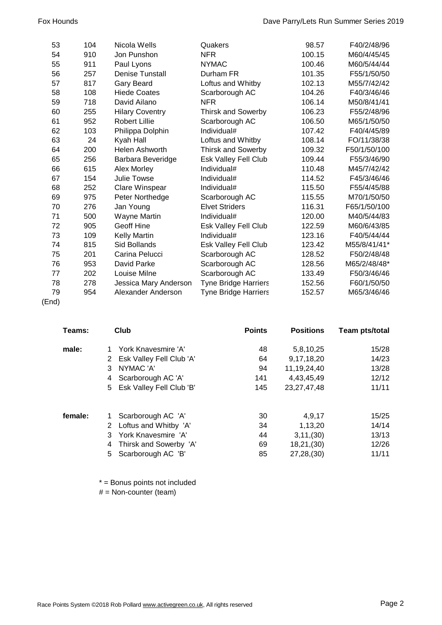| 53 | 104 | Nicola Wells           | Quakers                     | 98.57  | F40/2/48/96  |
|----|-----|------------------------|-----------------------------|--------|--------------|
| 54 | 910 | Jon Punshon            | <b>NFR</b>                  | 100.15 | M60/4/45/45  |
| 55 | 911 | Paul Lyons             | <b>NYMAC</b>                | 100.46 | M60/5/44/44  |
| 56 | 257 | <b>Denise Tunstall</b> | Durham FR                   | 101.35 | F55/1/50/50  |
| 57 | 817 | <b>Gary Beard</b>      | Loftus and Whitby           | 102.13 | M55/7/42/42  |
| 58 | 108 | <b>Hiede Coates</b>    | Scarborough AC              | 104.26 | F40/3/46/46  |
| 59 | 718 | David Ailano           | <b>NFR</b>                  | 106.14 | M50/8/41/41  |
| 60 | 255 | <b>Hilary Coventry</b> | <b>Thirsk and Sowerby</b>   | 106.23 | F55/2/48/96  |
| 61 | 952 | <b>Robert Lillie</b>   | Scarborough AC              | 106.50 | M65/1/50/50  |
| 62 | 103 | Philippa Dolphin       | Individual#                 | 107.42 | F40/4/45/89  |
| 63 | 24  | Kyah Hall              | Loftus and Whitby           | 108.14 | FO/11/38/38  |
| 64 | 200 | Helen Ashworth         | Thirsk and Sowerby          | 109.32 | F50/1/50/100 |
| 65 | 256 | Barbara Beveridge      | Esk Valley Fell Club        | 109.44 | F55/3/46/90  |
| 66 | 615 | <b>Alex Morley</b>     | Individual#                 | 110.48 | M45/7/42/42  |
| 67 | 154 | <b>Julie Towse</b>     | Individual#                 | 114.52 | F45/3/46/46  |
| 68 | 252 | Clare Winspear         | Individual#                 | 115.50 | F55/4/45/88  |
| 69 | 975 | Peter Northedge        | Scarborough AC              | 115.55 | M70/1/50/50  |
| 70 | 276 | Jan Young              | <b>Elvet Striders</b>       | 116.31 | F65/1/50/100 |
| 71 | 500 | Wayne Martin           | Individual#                 | 120.00 | M40/5/44/83  |
| 72 | 905 | <b>Geoff Hine</b>      | Esk Valley Fell Club        | 122.59 | M60/6/43/85  |
| 73 | 109 | Kelly Martin           | Individual#                 | 123.16 | F40/5/44/44  |
| 74 | 815 | Sid Bollands           | Esk Valley Fell Club        | 123.42 | M55/8/41/41* |
| 75 | 201 | Carina Pelucci         | Scarborough AC              | 128.52 | F50/2/48/48  |
| 76 | 953 | David Parke            | Scarborough AC              | 128.56 | M65/2/48/48* |
| 77 | 202 | Louise Milne           | Scarborough AC              | 133.49 | F50/3/46/46  |
| 78 | 278 | Jessica Mary Anderson  | <b>Tyne Bridge Harriers</b> | 152.56 | F60/1/50/50  |
| 79 | 954 | Alexander Anderson     | <b>Tyne Bridge Harriers</b> | 152.57 | M65/3/46/46  |
|    |     |                        |                             |        |              |

(End)

| Teams:  | Club                        | <b>Points</b> | <b>Positions</b> | Team pts/total |
|---------|-----------------------------|---------------|------------------|----------------|
| male:   | York Knavesmire 'A'         | 48            | 5,8,10,25        | 15/28          |
|         | 2 Esk Valley Fell Club 'A'  | 64            | 9,17,18,20       | 14/23          |
|         | NYMAC 'A'<br>3              | 94            | 11,19,24,40      | 13/28          |
|         | Scarborough AC 'A'<br>4     | 141           | 4,43,45,49       | 12/12          |
|         | 5 Esk Valley Fell Club 'B'  | 145           | 23, 27, 47, 48   | 11/11          |
| female: | Scarborough AC 'A'          | 30            | 4,9,17           | 15/25          |
|         | 2 Loftus and Whitby 'A'     | 34            | 1,13,20          | 14/14          |
|         | York Knavesmire 'A'<br>3    | 44            | 3, 11, (30)      | 13/13          |
|         | Thirsk and Sowerby 'A'<br>4 | 69            | 18,21,(30)       | 12/26          |
|         | Scarborough AC 'B'<br>5.    | 85            | 27,28,(30)       | 11/11          |

\* = Bonus points not included

 $#$  = Non-counter (team)